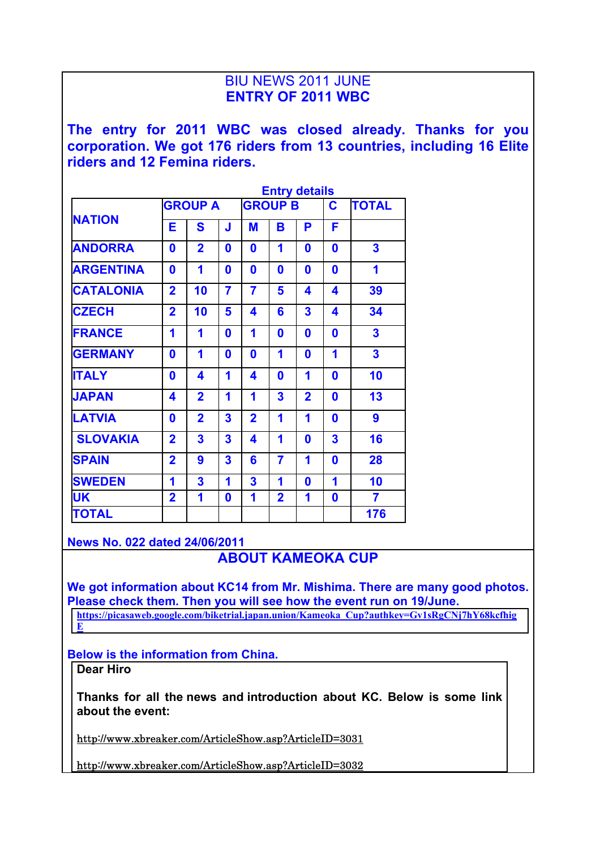## BIU NEWS 2011 JUNE **ENTRY OF 2011 WBC**

**The entry for 2011 WBC was closed already. Thanks for you corporation. We got 176 riders from 13 countries, including 16 Elite riders and 12 Femina riders.** 

|                  | <b>Entry details</b>    |                         |                         |                         |                |                |              |                         |
|------------------|-------------------------|-------------------------|-------------------------|-------------------------|----------------|----------------|--------------|-------------------------|
| <b>NATION</b>    | <b>GROUP A</b>          |                         |                         | <b>GROUP B</b>          |                |                | C            | <b>TOTAL</b>            |
|                  | Е                       | S                       | J                       | M                       | В              | P              | F            |                         |
| <b>ANDORRA</b>   | $\bf{0}$                | $\overline{2}$          | 0                       | $\bf{0}$                | 1              | 0              | $\bf{0}$     | 3                       |
| <b>ARGENTINA</b> | $\bf{0}$                | 1                       | $\bf{0}$                | $\bf{0}$                | $\mathbf{0}$   | $\mathbf{0}$   | $\mathbf{0}$ | 1                       |
| <b>CATALONIA</b> | $\overline{\mathbf{2}}$ | 10                      | $\overline{7}$          | $\overline{7}$          | 5              | 4              | 4            | 39                      |
| <b>CZECH</b>     | $\overline{\mathbf{2}}$ | 10                      | 5                       | 4                       | 6              | 3              | 4            | 34                      |
| <b>FRANCE</b>    | 1                       | 1                       | $\bf{0}$                | 1                       | $\mathbf{0}$   | $\mathbf{0}$   | $\bf{0}$     | $\overline{\mathbf{3}}$ |
| <b>GERMANY</b>   | $\bf{0}$                | 1                       | $\mathbf{0}$            | $\bf{0}$                | 1              | $\bf{0}$       | 1            | $\overline{\mathbf{3}}$ |
| <b>ITALY</b>     | $\mathbf{0}$            | 4                       | 1                       | 4                       | $\mathbf{0}$   | 1              | $\bf{0}$     | 10                      |
| <b>JAPAN</b>     | 4                       | $\overline{2}$          | 1                       | 1                       | 3              | $\overline{2}$ | 0            | 13                      |
| <b>LATVIA</b>    | $\mathbf 0$             | $\overline{2}$          | $\overline{\mathbf{3}}$ | $\overline{\mathbf{2}}$ | 1              | 1              | $\mathbf{0}$ | 9                       |
| <b>SLOVAKIA</b>  | $\overline{\mathbf{2}}$ | 3                       | 3                       | 4                       | 1              | 0              | 3            | 16                      |
| <b>SPAIN</b>     | $\overline{\mathbf{2}}$ | 9                       | 3                       | 6                       | $\overline{7}$ | 1              | 0            | 28                      |
| <b>SWEDEN</b>    | 1                       | $\overline{\mathbf{3}}$ | 1                       | $\overline{\mathbf{3}}$ | 1              | $\bf{0}$       | 1            | 10                      |
| <b>UK</b>        | $\overline{\mathbf{2}}$ | 1                       | 0                       | 1                       | $\overline{2}$ | 1              | $\mathbf 0$  | $\overline{\mathbf{r}}$ |
| <b>TOTAL</b>     |                         |                         |                         |                         |                |                |              | 176                     |

**News No. 022 dated 24/06/2011**

**ABOUT KAMEOKA CUP** 

**We got information about KC14 from Mr. Mishima. There are many good photos. Please check them. Then you will see how the event run on 19/June. https://picasaweb.google.com/biketrial.japan.union/Kameoka\_Cup?authkey=Gv1sRgCNj7hY68kcfhig E**

**Below is the information from China.**

**Dear Hiro**

**Thanks for all the news and introduction about KC. Below is some link about the event:**

http://www.xbreaker.com/ArticleShow.asp?ArticleID=3031

http://www.xbreaker.com/ArticleShow.asp?ArticleID=3032